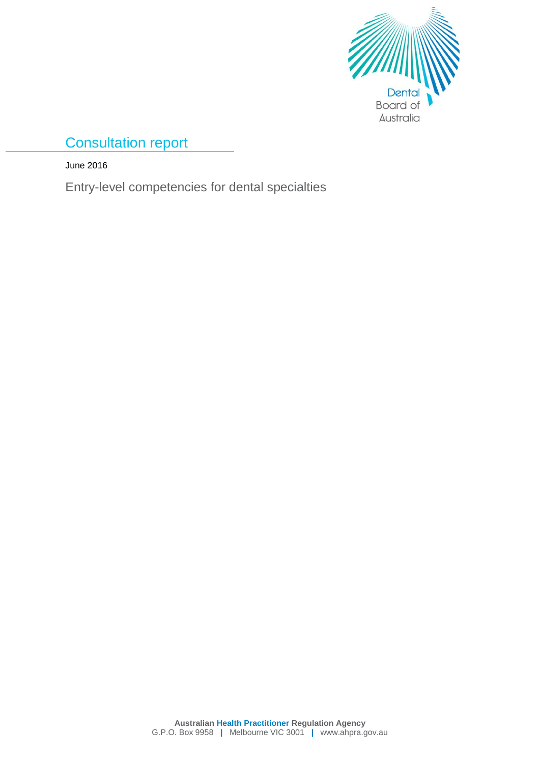

# Consultation report

June 2016

Entry-level competencies for dental specialties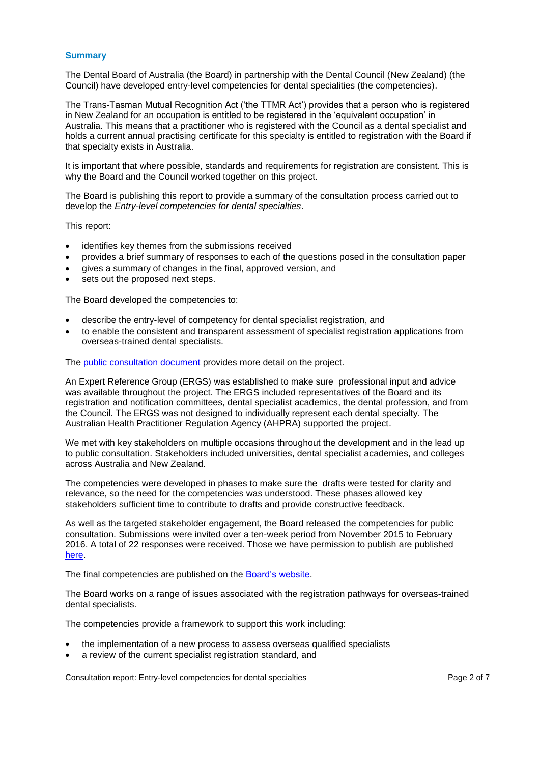#### **Summary**

The Dental Board of Australia (the Board) in partnership with the Dental Council (New Zealand) (the Council) have developed entry-level competencies for dental specialities (the competencies).

The Trans-Tasman Mutual Recognition Act ('the TTMR Act') provides that a person who is registered in New Zealand for an occupation is entitled to be registered in the 'equivalent occupation' in Australia. This means that a practitioner who is registered with the Council as a dental specialist and holds a current annual practising certificate for this specialty is entitled to registration with the Board if that specialty exists in Australia.

It is important that where possible, standards and requirements for registration are consistent. This is why the Board and the Council worked together on this project.

The Board is publishing this report to provide a summary of the consultation process carried out to develop the *Entry-level competencies for dental specialties*.

This report:

- identifies key themes from the submissions received
- provides a brief summary of responses to each of the questions posed in the consultation paper
- gives a summary of changes in the final, approved version, and
- sets out the proposed next steps.

The Board developed the competencies to:

- describe the entry-level of competency for dental specialist registration, and
- to enable the consistent and transparent assessment of specialist registration applications from overseas-trained dental specialists.

The [public consultation document](http://www.dentalboard.gov.au/News/Past-Consultations.aspx) provides more detail on the project.

An Expert Reference Group (ERGS) was established to make sure professional input and advice was available throughout the project. The ERGS included representatives of the Board and its registration and notification committees, dental specialist academics, the dental profession, and from the Council. The ERGS was not designed to individually represent each dental specialty. The Australian Health Practitioner Regulation Agency (AHPRA) supported the project.

We met with key stakeholders on multiple occasions throughout the development and in the lead up to public consultation. Stakeholders included universities, dental specialist academies, and colleges across Australia and New Zealand.

The competencies were developed in phases to make sure the drafts were tested for clarity and relevance, so the need for the competencies was understood. These phases allowed key stakeholders sufficient time to contribute to drafts and provide constructive feedback.

As well as the targeted stakeholder engagement, the Board released the competencies for public consultation. Submissions were invited over a ten-week period from November 2015 to February 2016. A total of 22 responses were received. Those we have permission to publish are published [here.](http://www.dentalboard.gov.au/News/Past-Consultations.aspx)

The final competencies are published on the [Board's website.](http://www.dentalboard.gov.au/Registration/Specialist-Registration/Specialist-competencies.aspx)

The Board works on a range of issues associated with the registration pathways for overseas-trained dental specialists.

The competencies provide a framework to support this work including:

- the implementation of a new process to assess overseas qualified specialists
- a review of the current specialist registration standard, and

Consultation report: Entry-level competencies for dental specialties **Page 2 of 7** Page 2 of 7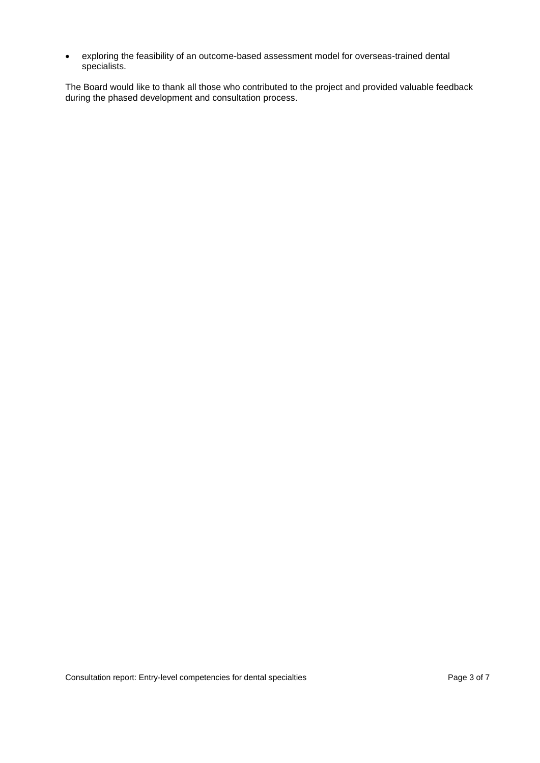exploring the feasibility of an outcome-based assessment model for overseas-trained dental specialists.

The Board would like to thank all those who contributed to the project and provided valuable feedback during the phased development and consultation process.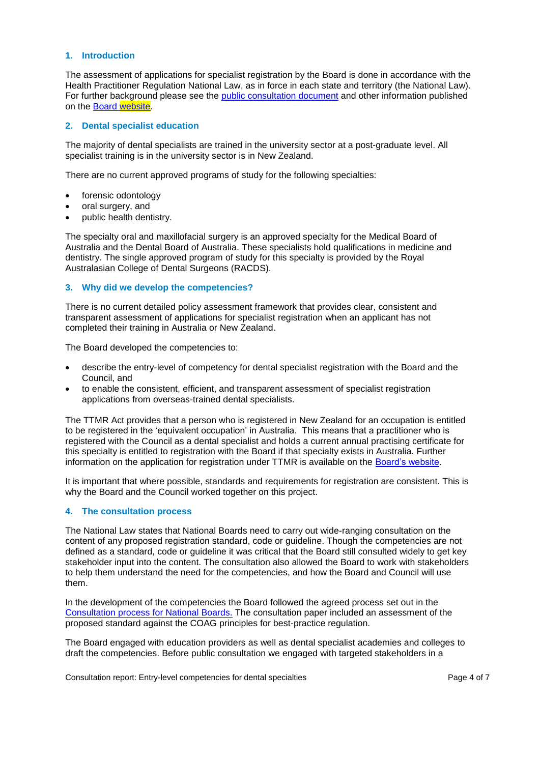# **1. Introduction**

The assessment of applications for specialist registration by the Board is done in accordance with the Health Practitioner Regulation National Law, as in force in each state and territory (the National Law). For further background please see the [public consultation document](http://www.dentalboard.gov.au/News/Past-Consultations.aspx) and other information published on the [Board website.](http://www.dentalboard.gov.au/Registration/Specialist-Registration/Specialist-competencies.aspx)

#### **2. Dental specialist education**

The majority of dental specialists are trained in the university sector at a post-graduate level. All specialist training is in the university sector is in New Zealand.

There are no current approved programs of study for the following specialties:

- forensic odontology
- oral surgery, and
- public health dentistry.

The specialty oral and maxillofacial surgery is an approved specialty for the Medical Board of Australia and the Dental Board of Australia. These specialists hold qualifications in medicine and dentistry. The single approved program of study for this specialty is provided by the Royal Australasian College of Dental Surgeons (RACDS).

#### **3. Why did we develop the competencies?**

There is no current detailed policy assessment framework that provides clear, consistent and transparent assessment of applications for specialist registration when an applicant has not completed their training in Australia or New Zealand.

The Board developed the competencies to:

- describe the entry-level of competency for dental specialist registration with the Board and the Council, and
- to enable the consistent, efficient, and transparent assessment of specialist registration applications from overseas-trained dental specialists.

The TTMR Act provides that a person who is registered in New Zealand for an occupation is entitled to be registered in the 'equivalent occupation' in Australia. This means that a practitioner who is registered with the Council as a dental specialist and holds a current annual practising certificate for this specialty is entitled to registration with the Board if that specialty exists in Australia. Further information on the application for registration under TTMR is available on the [Board's website.](http://www.dentalboard.gov.au/Registration/Specialist-Registration.aspx)

It is important that where possible, standards and requirements for registration are consistent. This is why the Board and the Council worked together on this project.

#### **4. The consultation process**

The National Law states that National Boards need to carry out wide-ranging consultation on the content of any proposed registration standard, code or guideline. Though the competencies are not defined as a standard, code or guideline it was critical that the Board still consulted widely to get key stakeholder input into the content. The consultation also allowed the Board to work with stakeholders to help them understand the need for the competencies, and how the Board and Council will use them.

In the development of the competencies the Board followed the agreed process set out in the [Consultation process for National Boards.](http://www.ahpra.gov.au/Publications/Procedures.aspx) The consultation paper included an assessment of the proposed standard against the COAG principles for best-practice regulation.

The Board engaged with education providers as well as dental specialist academies and colleges to draft the competencies. Before public consultation we engaged with targeted stakeholders in a

Consultation report: Entry-level competencies for dental specialties **Page 4 of 7** Page 4 of 7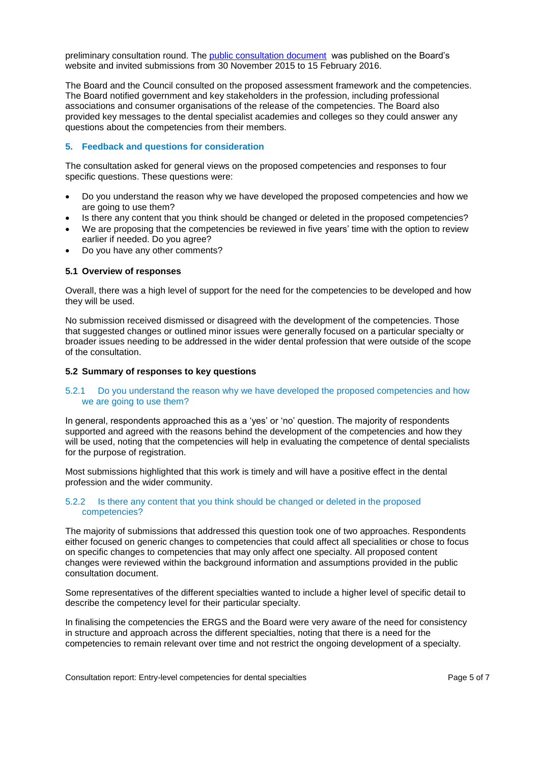preliminary consultation round. The [public consultation document](http://www.dentalboard.gov.au/News/Past-Consultations.aspx) was published on the Board's website and invited submissions from 30 November 2015 to 15 February 2016.

The Board and the Council consulted on the proposed assessment framework and the competencies. The Board notified government and key stakeholders in the profession, including professional associations and consumer organisations of the release of the competencies. The Board also provided key messages to the dental specialist academies and colleges so they could answer any questions about the competencies from their members.

### **5. Feedback and questions for consideration**

The consultation asked for general views on the proposed competencies and responses to four specific questions. These questions were:

- Do you understand the reason why we have developed the proposed competencies and how we are going to use them?
- Is there any content that you think should be changed or deleted in the proposed competencies? We are proposing that the competencies be reviewed in five years' time with the option to review earlier if needed. Do you agree?
- Do you have any other comments?

#### **5.1 Overview of responses**

Overall, there was a high level of support for the need for the competencies to be developed and how they will be used.

No submission received dismissed or disagreed with the development of the competencies. Those that suggested changes or outlined minor issues were generally focused on a particular specialty or broader issues needing to be addressed in the wider dental profession that were outside of the scope of the consultation.

#### **5.2 Summary of responses to key questions**

#### 5.2.1 Do you understand the reason why we have developed the proposed competencies and how we are going to use them?

In general, respondents approached this as a 'yes' or 'no' question. The majority of respondents supported and agreed with the reasons behind the development of the competencies and how they will be used, noting that the competencies will help in evaluating the competence of dental specialists for the purpose of registration.

Most submissions highlighted that this work is timely and will have a positive effect in the dental profession and the wider community.

# 5.2.2 Is there any content that you think should be changed or deleted in the proposed competencies?

The majority of submissions that addressed this question took one of two approaches. Respondents either focused on generic changes to competencies that could affect all specialities or chose to focus on specific changes to competencies that may only affect one specialty. All proposed content changes were reviewed within the background information and assumptions provided in the public consultation document.

Some representatives of the different specialties wanted to include a higher level of specific detail to describe the competency level for their particular specialty.

In finalising the competencies the ERGS and the Board were very aware of the need for consistency in structure and approach across the different specialties, noting that there is a need for the competencies to remain relevant over time and not restrict the ongoing development of a specialty.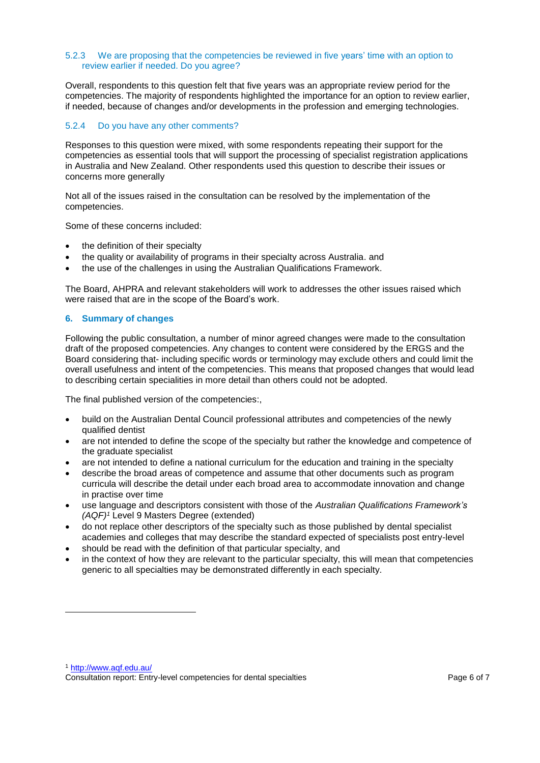#### 5.2.3 We are proposing that the competencies be reviewed in five years' time with an option to review earlier if needed. Do you agree?

Overall, respondents to this question felt that five years was an appropriate review period for the competencies. The majority of respondents highlighted the importance for an option to review earlier, if needed, because of changes and/or developments in the profession and emerging technologies.

# 5.2.4 Do you have any other comments?

Responses to this question were mixed, with some respondents repeating their support for the competencies as essential tools that will support the processing of specialist registration applications in Australia and New Zealand. Other respondents used this question to describe their issues or concerns more generally

Not all of the issues raised in the consultation can be resolved by the implementation of the competencies.

Some of these concerns included:

- the definition of their specialty
- the quality or availability of programs in their specialty across Australia. and
- the use of the challenges in using the Australian Qualifications Framework.

The Board, AHPRA and relevant stakeholders will work to addresses the other issues raised which were raised that are in the scope of the Board's work.

#### **6. Summary of changes**

**.** 

Following the public consultation, a number of minor agreed changes were made to the consultation draft of the proposed competencies. Any changes to content were considered by the ERGS and the Board considering that- including specific words or terminology may exclude others and could limit the overall usefulness and intent of the competencies. This means that proposed changes that would lead to describing certain specialities in more detail than others could not be adopted.

The final published version of the competencies:,

- build on the Australian Dental Council professional attributes and competencies of the newly qualified dentist
- are not intended to define the scope of the specialty but rather the knowledge and competence of the graduate specialist
- are not intended to define a national curriculum for the education and training in the specialty
- describe the broad areas of competence and assume that other documents such as program curricula will describe the detail under each broad area to accommodate innovation and change in practise over time
- use language and descriptors consistent with those of the *Australian Qualifications Framework's (AQF)<sup>1</sup>* Level 9 Masters Degree (extended)
- do not replace other descriptors of the specialty such as those published by dental specialist academies and colleges that may describe the standard expected of specialists post entry-level
- should be read with the definition of that particular specialty, and
- in the context of how they are relevant to the particular specialty, this will mean that competencies generic to all specialties may be demonstrated differently in each specialty.